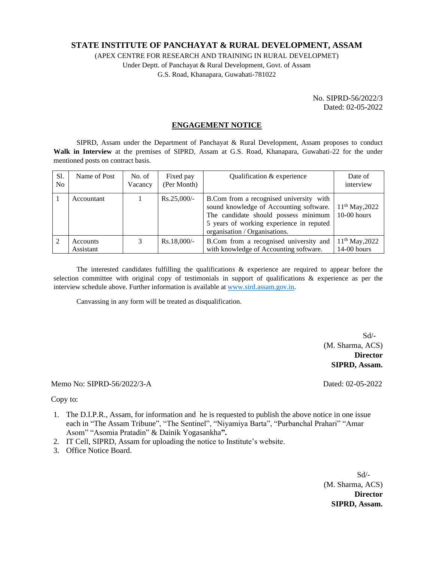## **STATE INSTITUTE OF PANCHAYAT & RURAL DEVELOPMENT, ASSAM**

(APEX CENTRE FOR RESEARCH AND TRAINING IN RURAL DEVELOPMET) Under Deptt. of Panchayat & Rural Development, Govt. of Assam G.S. Road, Khanapara, Guwahati-781022

> No. SIPRD-56/2022/3 Dated: 02-05-2022

## **ENGAGEMENT NOTICE**

SIPRD, Assam under the Department of Panchayat & Rural Development, Assam proposes to conduct **Walk in Interview** at the premises of SIPRD, Assam at G.S. Road, Khanapara, Guwahati-22 for the under mentioned posts on contract basis.

| S1.<br>N <sub>0</sub> | Name of Post          | No. of<br>Vacancy | Fixed pay<br>(Per Month) | Qualification & experience                                                                                                                                                                              | Date of<br>interview               |
|-----------------------|-----------------------|-------------------|--------------------------|---------------------------------------------------------------------------------------------------------------------------------------------------------------------------------------------------------|------------------------------------|
|                       | Accountant            |                   | $Rs.25,000/-$            | B.Com from a recognised university with<br>sound knowledge of Accounting software.<br>The candidate should possess minimum<br>5 years of working experience in reputed<br>organisation / Organisations. | $11th$ May, 2022<br>$10-00$ hours  |
|                       | Accounts<br>Assistant |                   | $Rs.18,000/-$            | B.Com from a recognised university and<br>with knowledge of Accounting software.                                                                                                                        | $11^{th}$ May, 2022<br>14-00 hours |

The interested candidates fulfilling the qualifications  $\&$  experience are required to appear before the selection committee with original copy of testimonials in support of qualifications & experience as per the interview schedule above. Further information is available at [www.sird.assam.gov.in.](http://www.sird.assam.gov.in/)

Canvassing in any form will be treated as disqualification.

 Sd/- (M. Sharma, ACS) **Director SIPRD, Assam.**

Memo No: SIPRD-56/2022/3-A Dated: 02-05-2022

Copy to:

- 1. The D.I.P.R., Assam, for information and he is requested to publish the above notice in one issue each in "The Assam Tribune", "The Sentinel", "Niyamiya Barta", "Purbanchal Prahari" "Amar Asom" "Asomia Pratadin" & Dainik Yogasankha**".**
- 2. IT Cell, SIPRD, Assam for uploading the notice to Institute's website.
- 3. Office Notice Board.

 Sd/- (M. Sharma, ACS) **Director SIPRD, Assam.**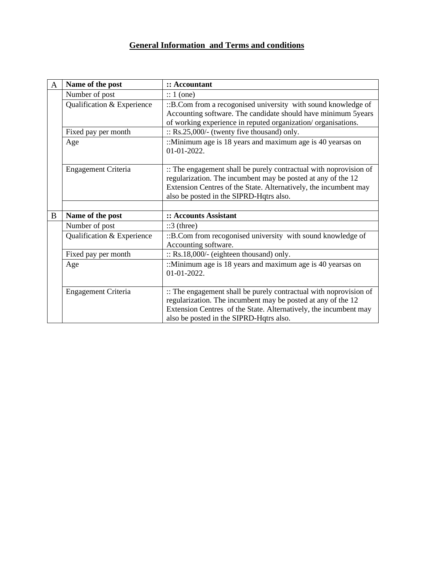# **General Information and Terms and conditions**

| $\mathbf{A}$ | Name of the post           | :: Accountant                                                                                                                                                                                                                                    |  |  |  |  |
|--------------|----------------------------|--------------------------------------------------------------------------------------------------------------------------------------------------------------------------------------------------------------------------------------------------|--|--|--|--|
|              | Number of post             | $\therefore$ 1 (one)                                                                                                                                                                                                                             |  |  |  |  |
|              | Qualification & Experience | ::B.Com from a recogonised university with sound knowledge of<br>Accounting software. The candidate should have minimum 5years<br>of working experience in reputed organization/organisations.                                                   |  |  |  |  |
|              | Fixed pay per month        | $\therefore$ Rs.25,000/- (twenty five thousand) only.                                                                                                                                                                                            |  |  |  |  |
|              | Age                        | ::Minimum age is 18 years and maximum age is 40 years as on<br>01-01-2022.                                                                                                                                                                       |  |  |  |  |
|              | Engagement Criteria        | :: The engagement shall be purely contractual with noprovision of<br>regularization. The incumbent may be posted at any of the 12<br>Extension Centres of the State. Alternatively, the incumbent may<br>also be posted in the SIPRD-Hqtrs also. |  |  |  |  |
|              |                            |                                                                                                                                                                                                                                                  |  |  |  |  |
| B            | Name of the post           | :: Accounts Assistant                                                                                                                                                                                                                            |  |  |  |  |
|              | Number of post             | $::3$ (three)                                                                                                                                                                                                                                    |  |  |  |  |
|              | Qualification & Experience | ::B.Com from recogonised university with sound knowledge of<br>Accounting software.                                                                                                                                                              |  |  |  |  |
|              | Fixed pay per month        | $\therefore$ Rs.18,000/- (eighteen thousand) only.                                                                                                                                                                                               |  |  |  |  |
|              | Age                        | :: Minimum age is 18 years and maximum age is 40 years as on<br>01-01-2022.                                                                                                                                                                      |  |  |  |  |
|              | Engagement Criteria        | :: The engagement shall be purely contractual with noprovision of<br>regularization. The incumbent may be posted at any of the 12<br>Extension Centres of the State. Alternatively, the incumbent may<br>also be posted in the SIPRD-Hqtrs also. |  |  |  |  |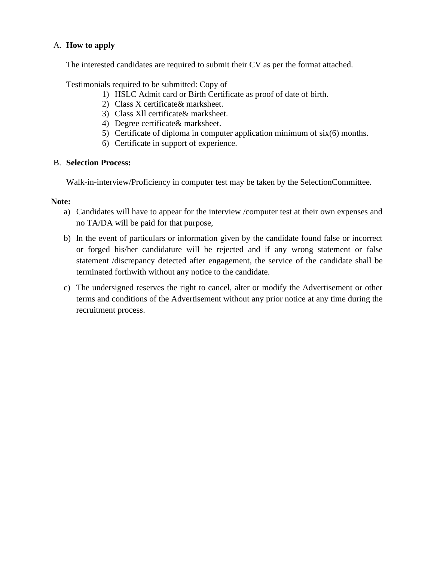# A. **How to apply**

The interested candidates are required to submit their CV as per the format attached.

Testimonials required to be submitted: Copy of

- 1) HSLC Admit card or Birth Certificate as proof of date of birth.
- 2) Class X certificate& marksheet.
- 3) Class Xll certificate& marksheet.
- 4) Degree certificate& marksheet.
- 5) Certificate of diploma in computer application minimum of six(6) months.
- 6) Certificate in support of experience.

## B. **Selection Process:**

Walk-in-interview/Proficiency in computer test may be taken by the SelectionCommittee.

## **Note:**

- a) Candidates will have to appear for the interview /computer test at their own expenses and no TA/DA will be paid for that purpose,
- b) ln the event of particulars or information given by the candidate found false or incorrect or forged his/her candidature will be rejected and if any wrong statement or false statement /discrepancy detected after engagement, the service of the candidate shall be terminated forthwith without any notice to the candidate.
- c) The undersigned reserves the right to cancel, alter or modify the Advertisement or other terms and conditions of the Advertisement without any prior notice at any time during the recruitment process.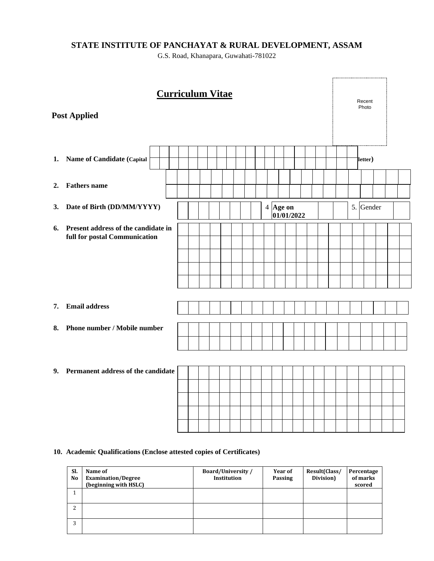# **STATE INSTITUTE OF PANCHAYAT & RURAL DEVELOPMENT, ASSAM**

G.S. Road, Khanapara, Guwahati-781022

|    | <b>Curriculum Vitae</b><br><b>Post Applied</b>                       |  |  |  |  |  |  |  |  |         |                        |  |  |  |  | Recent<br>Photo |  |  |  |
|----|----------------------------------------------------------------------|--|--|--|--|--|--|--|--|---------|------------------------|--|--|--|--|-----------------|--|--|--|
| 1. | <b>Name of Candidate (Capital</b>                                    |  |  |  |  |  |  |  |  | letter) |                        |  |  |  |  |                 |  |  |  |
| 2. | <b>Fathers</b> name                                                  |  |  |  |  |  |  |  |  |         |                        |  |  |  |  |                 |  |  |  |
| 3. | Date of Birth (DD/MM/YYYY)                                           |  |  |  |  |  |  |  |  |         | 4 Age on<br>01/01/2022 |  |  |  |  | 5. Gender       |  |  |  |
| 6. | Present address of the candidate in<br>full for postal Communication |  |  |  |  |  |  |  |  |         |                        |  |  |  |  |                 |  |  |  |
| 7. | <b>Email address</b>                                                 |  |  |  |  |  |  |  |  |         |                        |  |  |  |  |                 |  |  |  |
| 8. | Phone number / Mobile number                                         |  |  |  |  |  |  |  |  |         |                        |  |  |  |  |                 |  |  |  |
| 9. | Permanent address of the candidate                                   |  |  |  |  |  |  |  |  |         |                        |  |  |  |  |                 |  |  |  |

## **10. Academic Qualifications (Enclose attested copies of Certificates)**

| SI.<br>N <sub>0</sub> | Name of<br><b>Examination/Degree</b><br>(beginning with HSLC) | <b>Board/University/</b><br><b>Institution</b> | Year of<br>Passing | Result(Class/<br>Division) | Percentage<br>of marks<br>scored |
|-----------------------|---------------------------------------------------------------|------------------------------------------------|--------------------|----------------------------|----------------------------------|
|                       |                                                               |                                                |                    |                            |                                  |
| ົ                     |                                                               |                                                |                    |                            |                                  |
| 3                     |                                                               |                                                |                    |                            |                                  |